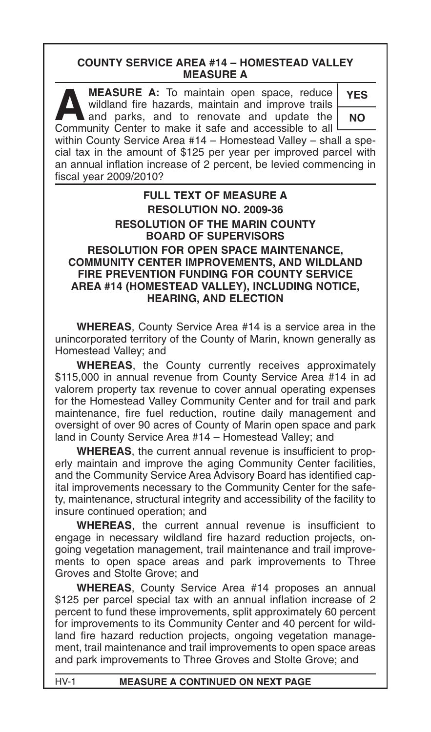# **COUNTY SERVICE AREA #14 – HOMESTEAD VALLEY MEASURE A**

**A MEASURE A:** To maintain open space, reduce<br>wildland fire hazards, maintain and improve trails<br>and parks, and to renovate and update the<br>Community Center to make it safe and accessible to all wildland fire hazards, maintain and improve trails and parks, and to renovate and update the Community Center to make it safe and accessible to all

**YES NO**

within County Service Area #14 – Homestead Valley – shall a special tax in the amount of \$125 per year per improved parcel with an annual inflation increase of 2 percent, be levied commencing in fiscal year 2009/2010?

## **FULL TEXT OF MEASURE A RESOLUTION NO. 2009-36 RESOLUTION OF THE MARIN COUNTY BOARD OF SUPERVISORS RESOLUTION FOR OPEN SPACE MAINTENANCE, COMMUNITY CENTER IMPROVEMENTS, AND WILDLAND FIRE PREVENTION FUNDING FOR COUNTY SERVICE AREA #14 (HOMESTEAD VALLEY), INCLUDING NOTICE, HEARING, AND ELECTION**

**WHEREAS**, County Service Area #14 is a service area in the unincorporated territory of the County of Marin, known generally as Homestead Valley; and

**WHEREAS**, the County currently receives approximately \$115,000 in annual revenue from County Service Area #14 in ad valorem property tax revenue to cover annual operating expenses for the Homestead Valley Community Center and for trail and park maintenance, fire fuel reduction, routine daily management and oversight of over 90 acres of County of Marin open space and park land in County Service Area #14 – Homestead Valley; and

**WHEREAS**, the current annual revenue is insufficient to properly maintain and improve the aging Community Center facilities, and the Community Service Area Advisory Board has identified capital improvements necessary to the Community Center for the safety, maintenance, structural integrity and accessibility of the facility to insure continued operation; and

**WHEREAS**, the current annual revenue is insufficient to engage in necessary wildland fire hazard reduction projects, ongoing vegetation management, trail maintenance and trail improvements to open space areas and park improvements to Three Groves and Stolte Grove; and

**WHEREAS**, County Service Area #14 proposes an annual \$125 per parcel special tax with an annual inflation increase of 2 percent to fund these improvements, split approximately 60 percent for improvements to its Community Center and 40 percent for wildland fire hazard reduction projects, ongoing vegetation management, trail maintenance and trail improvements to open space areas and park improvements to Three Groves and Stolte Grove; and

HV-1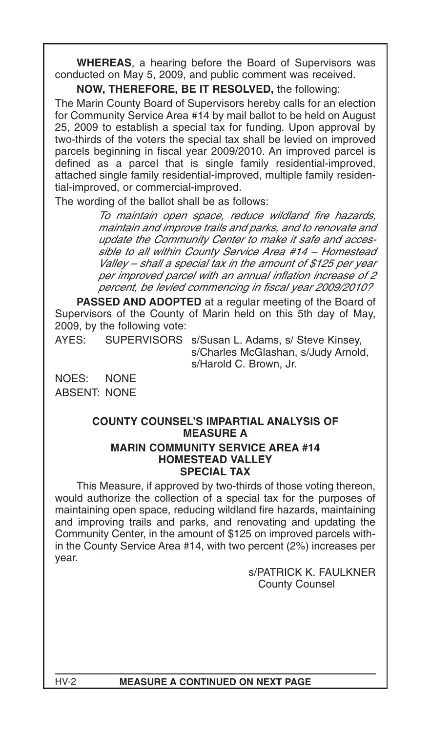**WHEREAS**, a hearing before the Board of Supervisors was conducted on May 5, 2009, and public comment was received.

## **NOW, THEREFORE, BE IT RESOLVED,** the following:

The Marin County Board of Supervisors hereby calls for an election for Community Service Area #14 by mail ballot to be held on August 25, 2009 to establish a special tax for funding. Upon approval by two-thirds of the voters the special tax shall be levied on improved parcels beginning in fiscal year 2009/2010. An improved parcel is defined as a parcel that is single family residential-improved, attached single family residential-improved, multiple family residential-improved, or commercial-improved.

The wording of the ballot shall be as follows:

To maintain open space, reduce wildland fire hazards, maintain and improve trails and parks, and to renovate and update the Community Center to make it safe and accessible to all within County Service Area #14 – Homestead Valley – shall a special tax in the amount of \$125 per year per improved parcel with an annual inflation increase of 2 percent, be levied commencing in fiscal year 2009/2010?

**PASSED AND ADOPTED** at a regular meeting of the Board of Supervisors of the County of Marin held on this 5th day of May, 2009, by the following vote:

AYES: SUPERVISORS s/Susan L. Adams, s/ Steve Kinsey, s/Charles McGlashan, s/Judy Arnold, s/Harold C. Brown, Jr.

NOES: NONE ABSENT: NONE

#### **COUNTY COUNSEL'S IMPARTIAL ANALYSIS OF MEASURE A MARIN COMMUNITY SERVICE AREA #14 HOMESTEAD VALLEY SPECIAL TAX**

This Measure, if approved by two-thirds of those voting thereon, would authorize the collection of a special tax for the purposes of maintaining open space, reducing wildland fire hazards, maintaining and improving trails and parks, and renovating and updating the Community Center, in the amount of \$125 on improved parcels within the County Service Area #14, with two percent (2%) increases per year.

> s/PATRICK K. FAULKNER County Counsel